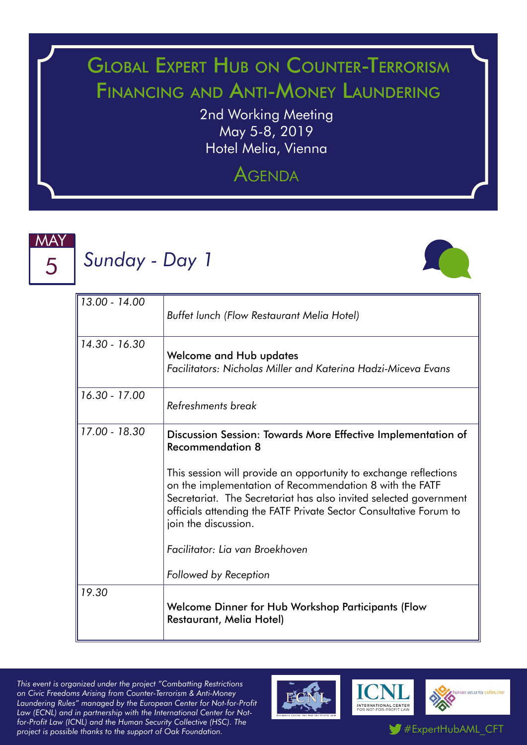## Global Expert Hub on Counter-Terrorism Financing and Anti-Money Laundering

2nd Working Meeting May 5-8, 2019 Hotel Melia, Vienna

### **AGENDA**



# *Sunday - Day 1*



| 13.00 - 14.00 | Buffet lunch (Flow Restaurant Melia Hotel)                                                                                                                                                                                                                                                                                                                                                                                                           |
|---------------|------------------------------------------------------------------------------------------------------------------------------------------------------------------------------------------------------------------------------------------------------------------------------------------------------------------------------------------------------------------------------------------------------------------------------------------------------|
| 14.30 - 16.30 | <b>Welcome and Hub updates</b><br>Facilitators: Nicholas Miller and Katerina Hadzi-Miceva Evans                                                                                                                                                                                                                                                                                                                                                      |
| 16.30 - 17.00 | Refreshments break                                                                                                                                                                                                                                                                                                                                                                                                                                   |
| 17.00 - 18.30 | Discussion Session: Towards More Effective Implementation of<br><b>Recommendation 8</b><br>This session will provide an opportunity to exchange reflections<br>on the implementation of Recommendation 8 with the FATF<br>Secretariat. The Secretariat has also invited selected government<br>officials attending the FATF Private Sector Consultative Forum to<br>join the discussion.<br>Facilitator: Lia van Broekhoven<br>Followed by Reception |
| 19.30         | Welcome Dinner for Hub Workshop Participants (Flow<br>Restaurant, Melia Hotel)                                                                                                                                                                                                                                                                                                                                                                       |

*This event is organized under the project "Combatting Restrictions on Civic Freedoms Arising from Counter-Terrorism & Anti-Money Laundering Rules" managed by the European Center for Not-for-Profit Law (ECNL) and in partnership with the International Center for Notfor-Profit Law (ICNL) and the Human Security Collective (HSC). The*  project is possible thanks to the support of Oak Foundation.<br> **project** is possible thanks to the support of Oak Foundation.



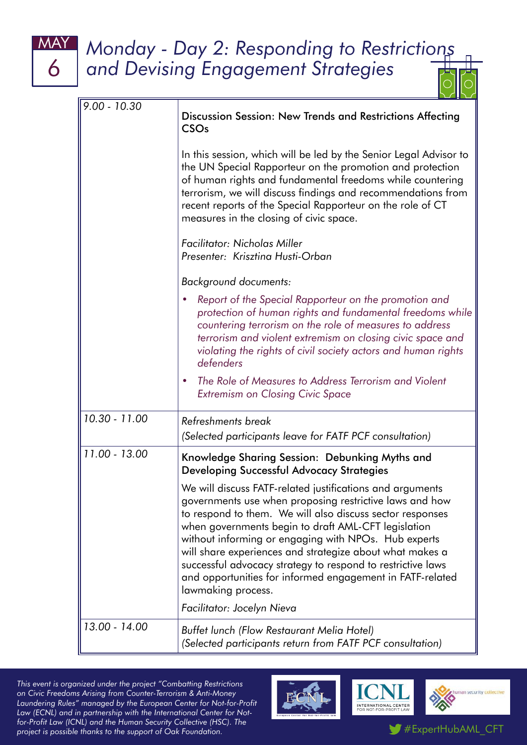### MAY *Monday - Day 2: Responding to Restrictions and Devising Engagement Strategies*

| $9.00 - 10.30$ | Discussion Session: New Trends and Restrictions Affecting<br><b>CSO<sub>s</sub></b>                                                                                                                                                                                                                                                                                                                                                                                                                                                          |
|----------------|----------------------------------------------------------------------------------------------------------------------------------------------------------------------------------------------------------------------------------------------------------------------------------------------------------------------------------------------------------------------------------------------------------------------------------------------------------------------------------------------------------------------------------------------|
|                | In this session, which will be led by the Senior Legal Advisor to<br>the UN Special Rapporteur on the promotion and protection<br>of human rights and fundamental freedoms while countering<br>terrorism, we will discuss findings and recommendations from<br>recent reports of the Special Rapporteur on the role of CT<br>measures in the closing of civic space.                                                                                                                                                                         |
|                | <b>Facilitator: Nicholas Miller</b><br>Presenter: Krisztina Husti-Orban                                                                                                                                                                                                                                                                                                                                                                                                                                                                      |
|                | <b>Background documents:</b>                                                                                                                                                                                                                                                                                                                                                                                                                                                                                                                 |
|                | Report of the Special Rapporteur on the promotion and<br>protection of human rights and fundamental freedoms while<br>countering terrorism on the role of measures to address<br>terrorism and violent extremism on closing civic space and<br>violating the rights of civil society actors and human rights<br>defenders                                                                                                                                                                                                                    |
|                | The Role of Measures to Address Terrorism and Violent<br>۰<br><b>Extremism on Closing Civic Space</b>                                                                                                                                                                                                                                                                                                                                                                                                                                        |
| 10.30 - 11.00  | Refreshments break                                                                                                                                                                                                                                                                                                                                                                                                                                                                                                                           |
|                | (Selected participants leave for FATF PCF consultation)                                                                                                                                                                                                                                                                                                                                                                                                                                                                                      |
| 11.00 - 13.00  | Knowledge Sharing Session: Debunking Myths and<br>Developing Successful Advocacy Strategies                                                                                                                                                                                                                                                                                                                                                                                                                                                  |
|                | We will discuss FATF-related justifications and arguments<br>governments use when proposing restrictive laws and how<br>to respond to them. We will also discuss sector responses<br>when governments begin to draft AML-CFT legislation<br>without informing or engaging with NPOs. Hub experts<br>will share experiences and strategize about what makes a<br>successful advocacy strategy to respond to restrictive laws<br>and opportunities for informed engagement in FATF-related<br>lawmaking process.<br>Facilitator: Jocelyn Nieva |
| 13.00 - 14.00  |                                                                                                                                                                                                                                                                                                                                                                                                                                                                                                                                              |
|                | Buffet lunch (Flow Restaurant Melia Hotel)<br>(Selected participants return from FATF PCF consultation)                                                                                                                                                                                                                                                                                                                                                                                                                                      |

*This event is organized under the project "Combatting Restrictions on Civic Freedoms Arising from Counter-Terrorism & Anti-Money Laundering Rules" managed by the European Center for Not-for-Profit Law (ECNL) and in partnership with the International Center for Notfor-Profit Law (ICNL) and the Human Security Collective (HSC). The project is possible thanks to the support of Oak Foundation.* The project is possible thanks to the support of Oak Foundation.

6



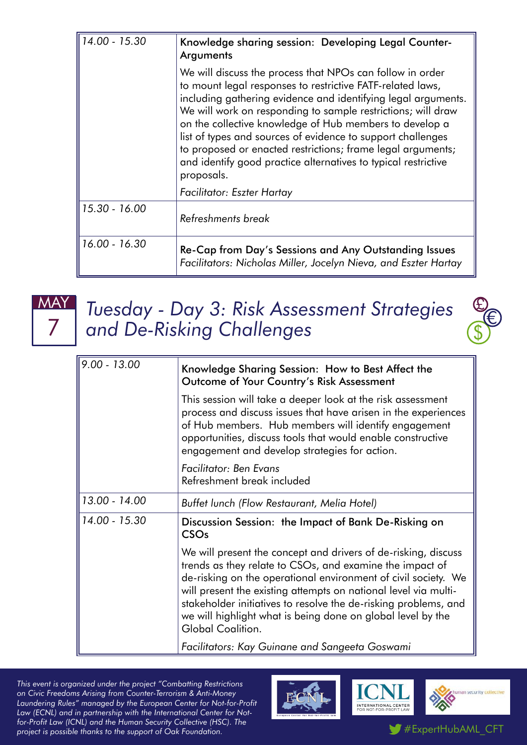| 14.00 - 15.30 | Knowledge sharing session: Developing Legal Counter-<br>Arguments                                                                                                                                                                                                                                                                                                                                                                                                                                                                 |
|---------------|-----------------------------------------------------------------------------------------------------------------------------------------------------------------------------------------------------------------------------------------------------------------------------------------------------------------------------------------------------------------------------------------------------------------------------------------------------------------------------------------------------------------------------------|
|               | We will discuss the process that NPOs can follow in order<br>to mount legal responses to restrictive FATF-related laws,<br>including gathering evidence and identifying legal arguments.<br>We will work on responding to sample restrictions; will draw<br>on the collective knowledge of Hub members to develop a<br>list of types and sources of evidence to support challenges<br>to proposed or enacted restrictions; frame legal arguments;<br>and identify good practice alternatives to typical restrictive<br>proposals. |
|               | Facilitator: Eszter Hartay                                                                                                                                                                                                                                                                                                                                                                                                                                                                                                        |
| 15.30 - 16.00 | Refreshments break                                                                                                                                                                                                                                                                                                                                                                                                                                                                                                                |
| 16.00 - 16.30 | Re-Cap from Day's Sessions and Any Outstanding Issues<br>Facilitators: Nicholas Miller, Jocelyn Nieva, and Eszter Hartay                                                                                                                                                                                                                                                                                                                                                                                                          |



*Tuesday - Day 3: Risk Assessment Strategies and De-Risking Challenges* \$



| $9.00 - 13.00$ | Knowledge Sharing Session: How to Best Affect the<br>Outcome of Your Country's Risk Assessment                                                                                                                                                                                                                                                                                                                         |
|----------------|------------------------------------------------------------------------------------------------------------------------------------------------------------------------------------------------------------------------------------------------------------------------------------------------------------------------------------------------------------------------------------------------------------------------|
|                | This session will take a deeper look at the risk assessment<br>process and discuss issues that have arisen in the experiences<br>of Hub members. Hub members will identify engagement<br>opportunities, discuss tools that would enable constructive<br>engagement and develop strategies for action.                                                                                                                  |
|                | Facilitator: Ben Evans<br>Refreshment break included                                                                                                                                                                                                                                                                                                                                                                   |
| 13.00 - 14.00  | Buffet lunch (Flow Restaurant, Melia Hotel)                                                                                                                                                                                                                                                                                                                                                                            |
| 14.00 - 15.30  | Discussion Session: the Impact of Bank De-Risking on<br><b>CSO<sub>s</sub></b>                                                                                                                                                                                                                                                                                                                                         |
|                | We will present the concept and drivers of de-risking, discuss<br>trends as they relate to CSOs, and examine the impact of<br>de-risking on the operational environment of civil society. We<br>will present the existing attempts on national level via multi-<br>stakeholder initiatives to resolve the de-risking problems, and<br>we will highlight what is being done on global level by the<br>Global Coalition. |
|                | Facilitators: Kay Guinane and Sangeeta Goswami                                                                                                                                                                                                                                                                                                                                                                         |

*This event is organized under the project "Combatting Restrictions on Civic Freedoms Arising from Counter-Terrorism & Anti-Money Laundering Rules" managed by the European Center for Not-for-Profit Law (ECNL) and in partnership with the International Center for Notfor-Profit Law (ICNL) and the Human Security Collective (HSC). The project is possible thanks to the support of Oak Foundation.* The project is possible thanks to the support of Oak Foundation.